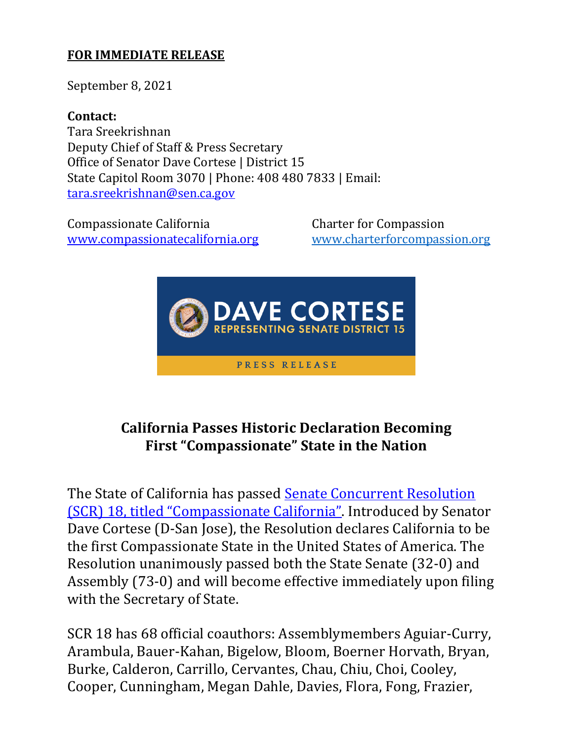## **FOR IMMEDIATE RELEASE**

September 8, 2021

**Contact:**  Tara Sreekrishnan Deputy Chief of Staff & Press Secretary Office of Senator Dave Cortese | District 15 State Capitol Room 3070 | Phone: 408 480 7833 | Email: [tara.sreekrishnan@sen.ca.gov](mailto:tara.sreekrishnan@sen.ca.gov)

Compassionate California Charter for Compassion [www.compassionatecalifornia.org](http://www.compassionatecalifornia.org/) [www.charterforcompassion.org](http://www.charterforcompassion.org/) 



## **California Passes Historic Declaration Becoming First "Compassionate" State in the Nation**

The State of California has passed **Senate Concurrent Resolution** [\(SCR\) 18, titled "Compassionate California"](https://leginfo.legislature.ca.gov/faces/billTextClient.xhtml?bill_id=202120220SCR18). Introduced by Senator Dave Cortese (D-San Jose), the Resolution declares California to be the first Compassionate State in the United States of America. The Resolution unanimously passed both the State Senate (32-0) and Assembly (73-0) and will become effective immediately upon filing with the Secretary of State.

SCR 18 has 68 official coauthors: Assemblymembers Aguiar-Curry, Arambula, Bauer-Kahan, Bigelow, Bloom, Boerner Horvath, Bryan, Burke, Calderon, Carrillo, Cervantes, Chau, Chiu, Choi, Cooley, Cooper, Cunningham, Megan Dahle, Davies, Flora, Fong, Frazier,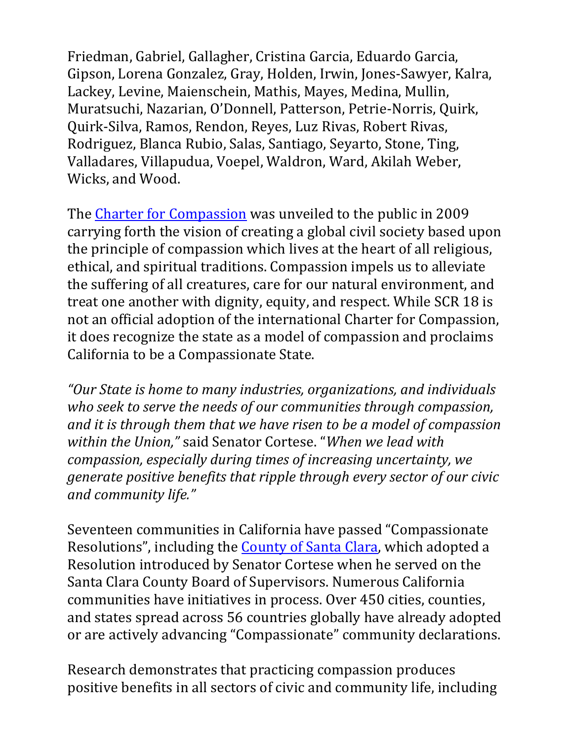Friedman, Gabriel, Gallagher, Cristina Garcia, Eduardo Garcia, Gipson, Lorena Gonzalez, Gray, Holden, Irwin, Jones-Sawyer, Kalra, Lackey, Levine, Maienschein, Mathis, Mayes, Medina, Mullin, Muratsuchi, Nazarian, O'Donnell, Patterson, Petrie-Norris, Quirk, Quirk-Silva, Ramos, Rendon, Reyes, Luz Rivas, Robert Rivas, Rodriguez, Blanca Rubio, Salas, Santiago, Seyarto, Stone, Ting, Valladares, Villapudua, Voepel, Waldron, Ward, Akilah Weber, Wicks, and Wood.

The [Charter for Compassion](https://charterforcompassion.org/) was unveiled to the public in 2009 carrying forth the vision of creating a global civil society based upon the principle of compassion which lives at the heart of all religious, ethical, and spiritual traditions. Compassion impels us to alleviate the suffering of all creatures, care for our natural environment, and treat one another with dignity, equity, and respect. While SCR 18 is not an official adoption of the international Charter for Compassion, it does recognize the state as a model of compassion and proclaims California to be a Compassionate State.

*"Our State is home to many industries, organizations, and individuals who seek to serve the needs of our communities through compassion, and it is through them that we have risen to be a model of compassion within the Union,"* said Senator Cortese. "*When we lead with compassion, especially during times of increasing uncertainty, we generate positive benefits that ripple through every sector of our civic and community life."*

Seventeen communities in California have passed "Compassionate Resolutions", including the **County of Santa Clara**, which adopted a Resolution introduced by Senator Cortese when he served on the Santa Clara County Board of Supervisors. Numerous California communities have initiatives in process. Over 450 cities, counties, and states spread across 56 countries globally have already adopted or are actively advancing "Compassionate" community declarations.

Research demonstrates that practicing compassion produces positive benefits in all sectors of civic and community life, including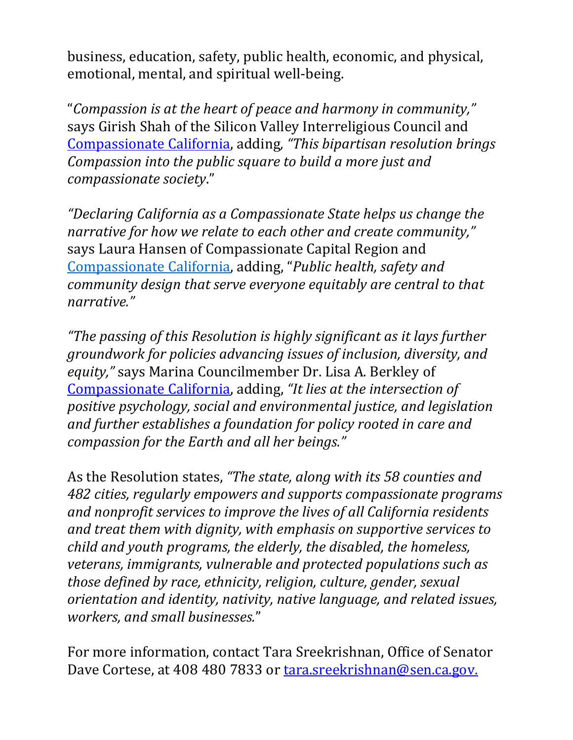business, education, safety, public health, economic, and physical, emotional, mental, and spiritual well-being.

"*Compassion is at the heart of peace and harmony in community,"*  says Girish Shah of the Silicon Valley Interreligious Council and [Compassionate California,](https://www.compassionatecalifornia.org/) adding*, "This bipartisan resolution brings Compassion into the public square to build a more just and compassionate society*."

*"Declaring California as a Compassionate State helps us change the narrative for how we relate to each other and create community,"*  says Laura Hansen of Compassionate Capital Region and [Compassionate California](https://www.compassionatecalifornia.org/), adding, "*Public health, safety and community design that serve everyone equitably are central to that narrative."*

*"The passing of this Resolution is highly significant as it lays further groundwork for policies advancing issues of inclusion, diversity, and equity,"* says Marina Councilmember Dr. Lisa A. Berkley of [Compassionate California,](https://na01.safelinks.protection.outlook.com/?url=https%3A%2F%2Fwww.compassionatecalifornia.org%2F&data=04%7C01%7C%7C75e39fa74422465642f008d9091782fc%7C84df9e7fe9f640afb435aaaaaaaaaaaa%7C1%7C0%7C637550818876650313%7CUnknown%7CTWFpbGZsb3d8eyJWIjoiMC4wLjAwMDAiLCJQIjoiV2luMzIiLCJBTiI6Ik1haWwiLCJXVCI6Mn0%3D%7C1000&sdata=rXjFYxB1knsGG7h%2BhqDK1XOK2k%2FfqY0oFiYVoyN7oQo%3D&reserved=0) adding, *"It lies at the intersection of positive psychology, social and environmental justice, and legislation and further establishes a foundation for policy rooted in care and compassion for the Earth and all her beings."*

As the Resolution states, *"The state, along with its 58 counties and 482 cities, regularly empowers and supports compassionate programs and nonprofit services to improve the lives of all California residents and treat them with dignity, with emphasis on supportive services to child and youth programs, the elderly, the disabled, the homeless, veterans, immigrants, vulnerable and protected populations such as those defined by race, ethnicity, religion, culture, gender, sexual orientation and identity, nativity, native language, and related issues, workers, and small businesses.*"

For more information, contact Tara Sreekrishnan, Office of Senator Dave Cortese, at 408 480 7833 or [tara.sreekrishnan@sen.ca.gov.](mailto:tara.sreekrishnan@sen.ca.gov)